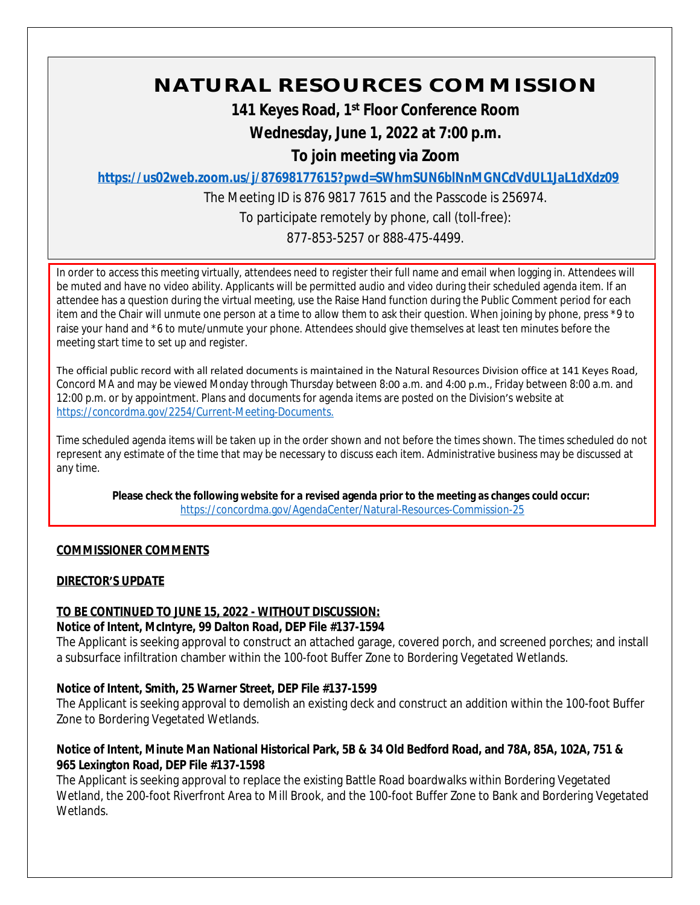# **NATURAL RESOURCES COMMISSION**

**141 Keyes Road, 1st Floor Conference Room**

**Wednesday, June 1, 2022 at 7:00 p.m.**

**To join meeting via Zoom**

**<https://us02web.zoom.us/j/87698177615?pwd=SWhmSUN6blNnMGNCdVdUL1JaL1dXdz09>**

The Meeting ID is 876 9817 7615 and the Passcode is 256974.

To participate remotely by phone, call (toll-free):

877-853-5257 or 888-475-4499.

In order to access this meeting virtually, attendees need to register their full name and email when logging in. Attendees will be muted and have no video ability. Applicants will be permitted audio and video during their scheduled agenda item. If an attendee has a question during the virtual meeting, use the Raise Hand function during the Public Comment period for each item and the Chair will unmute one person at a time to allow them to ask their question. When joining by phone, press \*9 to raise your hand and \*6 to mute/unmute your phone. Attendees should give themselves at least ten minutes before the meeting start time to set up and register.

The official public record with all related documents is maintained in the Natural Resources Division office at 141 Keyes Road, Concord MA and may be viewed Monday through Thursday between 8:00 a.m. and 4:00 p.m., Friday between 8:00 a.m. and 12:00 p.m. or by appointment. Plans and documents for agenda items are posted on the Division's website at [https://concordma.gov/2254/Current-Meeting-Documents.](https://concordma.gov/2254/Current-Meeting-Documents)

Time scheduled agenda items will be taken up in the order shown and not before the times shown. The times scheduled do not represent any estimate of the time that may be necessary to discuss each item. Administrative business may be discussed at any time.

**Please check the following website for a revised agenda prior to the meeting as changes could occur:**  <https://concordma.gov/AgendaCenter/Natural-Resources-Commission-25>

# **COMMISSIONER COMMENTS**

# **DIRECTOR'S UPDATE**

## **TO BE CONTINUED TO JUNE 15, 2022 - WITHOUT DISCUSSION:**

## **Notice of Intent, McIntyre, 99 Dalton Road, DEP File #137-1594**

The Applicant is seeking approval to construct an attached garage, covered porch, and screened porches; and install a subsurface infiltration chamber within the 100-foot Buffer Zone to Bordering Vegetated Wetlands.

# **Notice of Intent, Smith, 25 Warner Street, DEP File #137-1599**

The Applicant is seeking approval to demolish an existing deck and construct an addition within the 100-foot Buffer Zone to Bordering Vegetated Wetlands.

## **Notice of Intent, Minute Man National Historical Park, 5B & 34 Old Bedford Road, and 78A, 85A, 102A, 751 & 965 Lexington Road, DEP File #137-1598**

The Applicant is seeking approval to replace the existing Battle Road boardwalks within Bordering Vegetated Wetland, the 200-foot Riverfront Area to Mill Brook, and the 100-foot Buffer Zone to Bank and Bordering Vegetated Wetlands.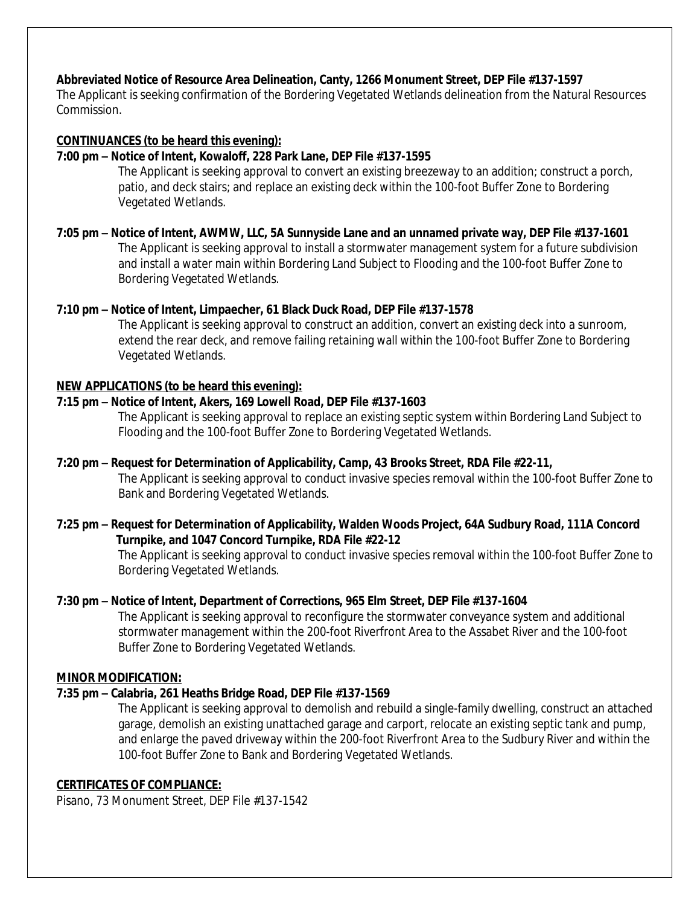## **Abbreviated Notice of Resource Area Delineation, Canty, 1266 Monument Street, DEP File #137-1597**

The Applicant is seeking confirmation of the Bordering Vegetated Wetlands delineation from the Natural Resources Commission.

### **CONTINUANCES (to be heard this evening):**

#### **7:00 pm – Notice of Intent, Kowaloff, 228 Park Lane, DEP File #137-1595**

The Applicant is seeking approval to convert an existing breezeway to an addition; construct a porch, patio, and deck stairs; and replace an existing deck within the 100-foot Buffer Zone to Bordering Vegetated Wetlands.

#### **7:05 pm – Notice of Intent, AWMW, LLC, 5A Sunnyside Lane and an unnamed private way, DEP File #137-1601** The Applicant is seeking approval to install a stormwater management system for a future subdivision and install a water main within Bordering Land Subject to Flooding and the 100-foot Buffer Zone to Bordering Vegetated Wetlands.

## **7:10 pm – Notice of Intent, Limpaecher, 61 Black Duck Road, DEP File #137-1578**

The Applicant is seeking approval to construct an addition, convert an existing deck into a sunroom, extend the rear deck, and remove failing retaining wall within the 100-foot Buffer Zone to Bordering Vegetated Wetlands.

#### **NEW APPLICATIONS (to be heard this evening):**

#### **7:15 pm – Notice of Intent, Akers, 169 Lowell Road, DEP File #137-1603**

The Applicant is seeking approval to replace an existing septic system within Bordering Land Subject to Flooding and the 100-foot Buffer Zone to Bordering Vegetated Wetlands.

## **7:20 pm – Request for Determination of Applicability, Camp, 43 Brooks Street, RDA File #22-11,**

The Applicant is seeking approval to conduct invasive species removal within the 100-foot Buffer Zone to Bank and Bordering Vegetated Wetlands.

## **7:25 pm – Request for Determination of Applicability, Walden Woods Project, 64A Sudbury Road, 111A Concord Turnpike, and 1047 Concord Turnpike, RDA File #22-12**

The Applicant is seeking approval to conduct invasive species removal within the 100-foot Buffer Zone to Bordering Vegetated Wetlands.

#### **7:30 pm – Notice of Intent, Department of Corrections, 965 Elm Street, DEP File #137-1604**

The Applicant is seeking approval to reconfigure the stormwater conveyance system and additional stormwater management within the 200-foot Riverfront Area to the Assabet River and the 100-foot Buffer Zone to Bordering Vegetated Wetlands.

#### **MINOR MODIFICATION:**

#### **7:35 pm – Calabria, 261 Heaths Bridge Road, DEP File #137-1569**

The Applicant is seeking approval to demolish and rebuild a single-family dwelling, construct an attached garage, demolish an existing unattached garage and carport, relocate an existing septic tank and pump, and enlarge the paved driveway within the 200-foot Riverfront Area to the Sudbury River and within the 100-foot Buffer Zone to Bank and Bordering Vegetated Wetlands.

#### **CERTIFICATES OF COMPLIANCE:**

Pisano, 73 Monument Street, DEP File #137-1542